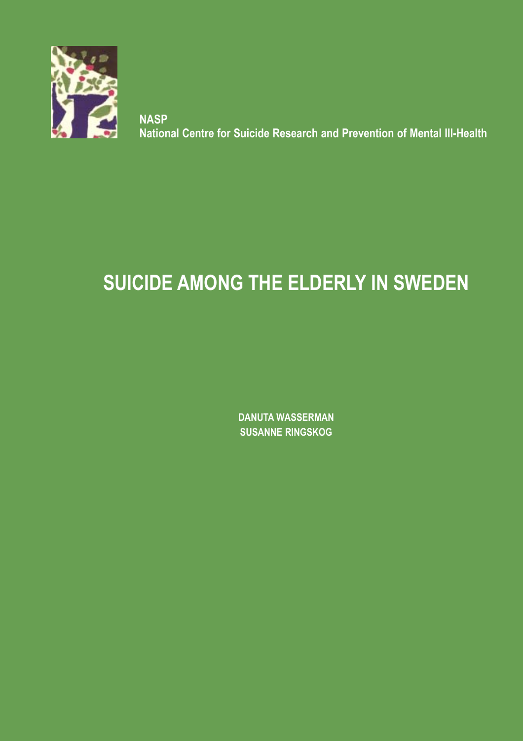

**NASP National Centre for Suicide Research and Prevention of Mental Ill-Health**

# **SUICIDE AMONG THE ELDERLY IN SWEDEN**

**DANUTA WASSERMAN SUSANNE RINGSKOG**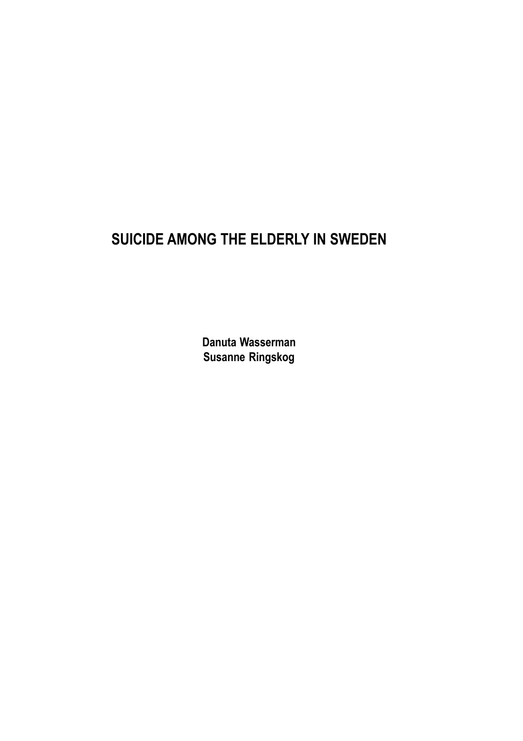# **SUICIDE AMONG THE ELDERLY IN SWEDEN**

**Danuta Wasserman Susanne Ringskog**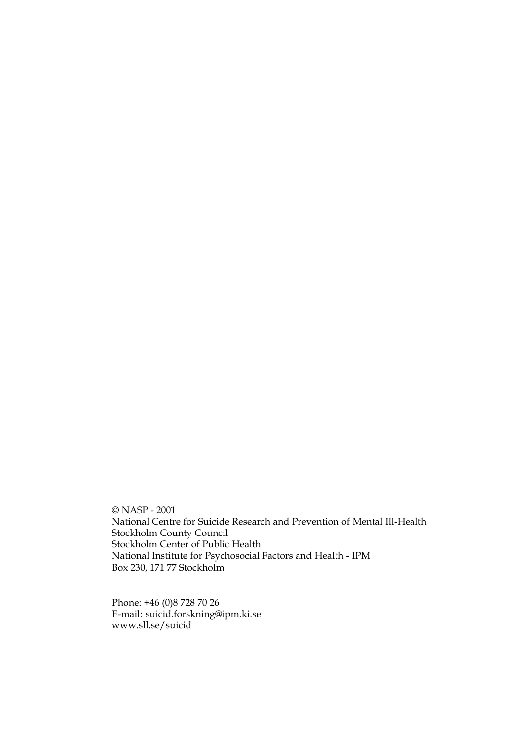© NASP - 2001 National Centre for Suicide Research and Prevention of Mental Ill-Health Stockholm County Council Stockholm Center of Public Health National Institute for Psychosocial Factors and Health - IPM Box 230, 171 77 Stockholm

Phone: +46 (0)8 728 70 26 E-mail: suicid.forskning@ipm.ki.se www.sll.se/suicid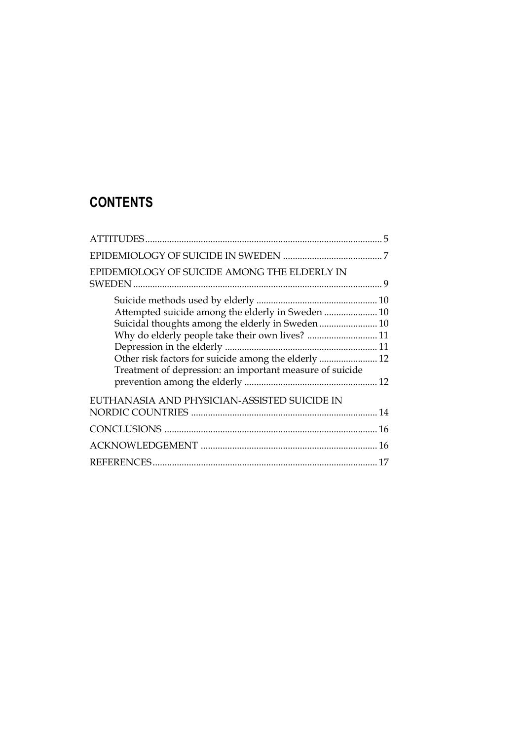# **CONTENTS**

| EPIDEMIOLOGY OF SUICIDE AMONG THE ELDERLY IN                                                                                                                                                                         |  |
|----------------------------------------------------------------------------------------------------------------------------------------------------------------------------------------------------------------------|--|
| Attempted suicide among the elderly in Sweden  10<br>Suicidal thoughts among the elderly in Sweden 10<br>Why do elderly people take their own lives?  11<br>Treatment of depression: an important measure of suicide |  |
| EUTHANASIA AND PHYSICIAN-ASSISTED SUICIDE IN                                                                                                                                                                         |  |
|                                                                                                                                                                                                                      |  |
|                                                                                                                                                                                                                      |  |
|                                                                                                                                                                                                                      |  |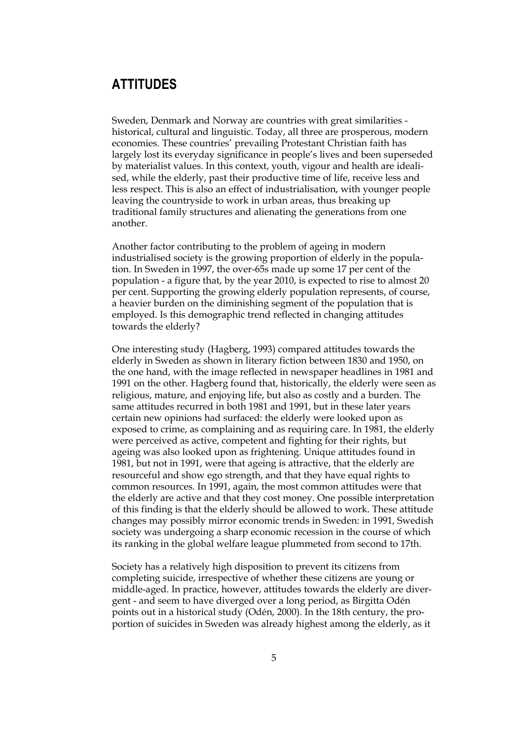### **ATTITUDES**

Sweden, Denmark and Norway are countries with great similarities historical, cultural and linguistic. Today, all three are prosperous, modern economies. These countries' prevailing Protestant Christian faith has largely lost its everyday significance in people's lives and been superseded by materialist values. In this context, youth, vigour and health are idealised, while the elderly, past their productive time of life, receive less and less respect. This is also an effect of industrialisation, with younger people leaving the countryside to work in urban areas, thus breaking up traditional family structures and alienating the generations from one another.

Another factor contributing to the problem of ageing in modern industrialised society is the growing proportion of elderly in the population. In Sweden in 1997, the over-65s made up some 17 per cent of the population - a figure that, by the year 2010, is expected to rise to almost 20 per cent. Supporting the growing elderly population represents, of course, a heavier burden on the diminishing segment of the population that is employed. Is this demographic trend reflected in changing attitudes towards the elderly?

One interesting study (Hagberg, 1993) compared attitudes towards the elderly in Sweden as shown in literary fiction between 1830 and 1950, on the one hand, with the image reflected in newspaper headlines in 1981 and 1991 on the other. Hagberg found that, historically, the elderly were seen as religious, mature, and enjoying life, but also as costly and a burden. The same attitudes recurred in both 1981 and 1991, but in these later years certain new opinions had surfaced: the elderly were looked upon as exposed to crime, as complaining and as requiring care. In 1981, the elderly were perceived as active, competent and fighting for their rights, but ageing was also looked upon as frightening. Unique attitudes found in 1981, but not in 1991, were that ageing is attractive, that the elderly are resourceful and show ego strength, and that they have equal rights to common resources. In 1991, again, the most common attitudes were that the elderly are active and that they cost money. One possible interpretation of this finding is that the elderly should be allowed to work. These attitude changes may possibly mirror economic trends in Sweden: in 1991, Swedish society was undergoing a sharp economic recession in the course of which its ranking in the global welfare league plummeted from second to 17th.

Society has a relatively high disposition to prevent its citizens from completing suicide, irrespective of whether these citizens are young or middle-aged. In practice, however, attitudes towards the elderly are divergent - and seem to have diverged over a long period, as Birgitta Odén points out in a historical study (Odén, 2000). In the 18th century, the proportion of suicides in Sweden was already highest among the elderly, as it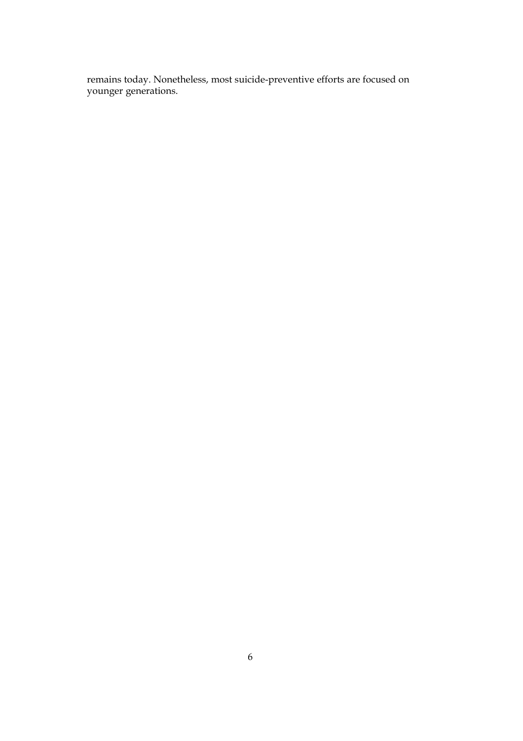remains today. Nonetheless, most suicide-preventive efforts are focused on younger generations.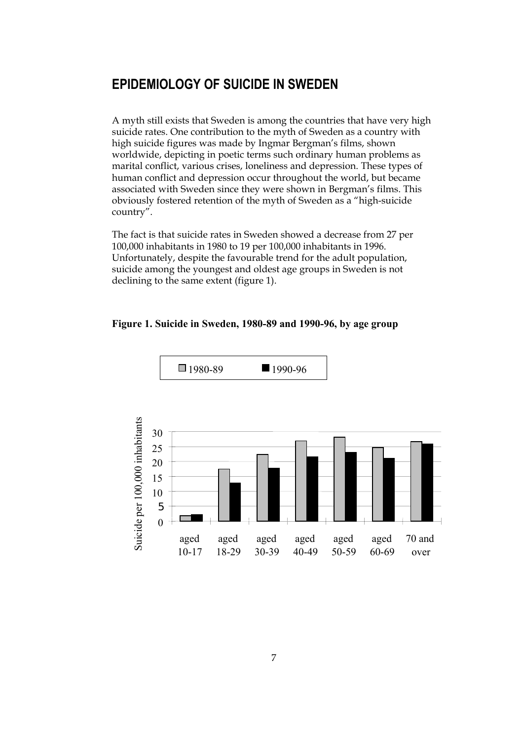### **EPIDEMIOLOGY OF SUICIDE IN SWEDEN**

A myth still exists that Sweden is among the countries that have very high suicide rates. One contribution to the myth of Sweden as a country with high suicide figures was made by Ingmar Bergman's films, shown worldwide, depicting in poetic terms such ordinary human problems as marital conflict, various crises, loneliness and depression. These types of human conflict and depression occur throughout the world, but became associated with Sweden since they were shown in Bergman's films. This obviously fostered retention of the myth of Sweden as a "high-suicide country".

The fact is that suicide rates in Sweden showed a decrease from 27 per 100,000 inhabitants in 1980 to 19 per 100,000 inhabitants in 1996. Unfortunately, despite the favourable trend for the adult population, suicide among the youngest and oldest age groups in Sweden is not declining to the same extent (figure 1).

#### **Figure 1. Suicide in Sweden, 1980-89 and 1990-96, by age group**

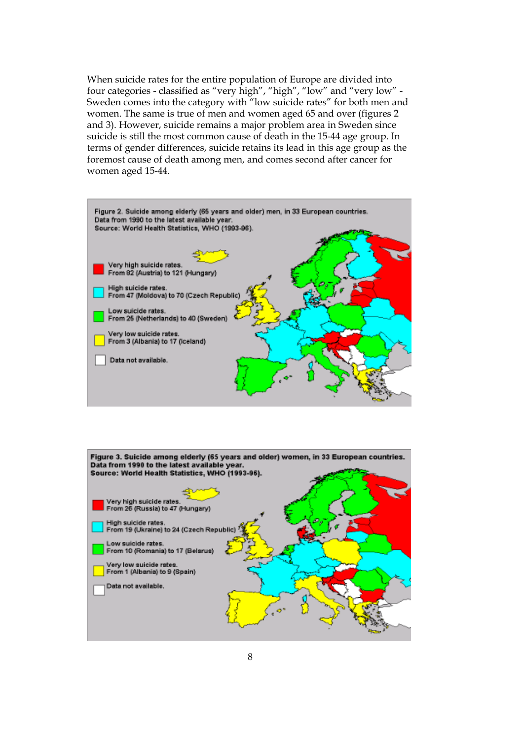When suicide rates for the entire population of Europe are divided into four categories - classified as "very high", "high", "low" and "very low" - Sweden comes into the category with "low suicide rates" for both men and women. The same is true of men and women aged 65 and over (figures 2 and 3). However, suicide remains a major problem area in Sweden since suicide is still the most common cause of death in the 15-44 age group. In terms of gender differences, suicide retains its lead in this age group as the foremost cause of death among men, and comes second after cancer for women aged 15-44.



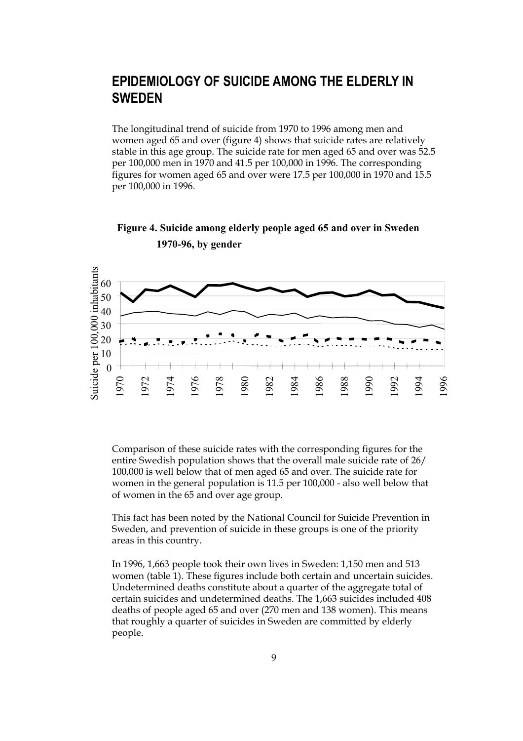### **EPIDEMIOLOGY OF SUICIDE AMONG THE ELDERLY IN SWEDEN**

The longitudinal trend of suicide from 1970 to 1996 among men and women aged 65 and over (figure 4) shows that suicide rates are relatively stable in this age group. The suicide rate for men aged 65 and over was 52.5 per 100,000 men in 1970 and 41.5 per 100,000 in 1996. The corresponding figures for women aged 65 and over were 17.5 per 100,000 in 1970 and 15.5 per 100,000 in 1996.

#### **Figure 4. Suicide among elderly people aged 65 and over in Sweden 1970-96, by gender**



Comparison of these suicide rates with the corresponding figures for the entire Swedish population shows that the overall male suicide rate of 26/ 100,000 is well below that of men aged 65 and over. The suicide rate for women in the general population is 11.5 per 100,000 - also well below that of women in the 65 and over age group.

This fact has been noted by the National Council for Suicide Prevention in Sweden, and prevention of suicide in these groups is one of the priority areas in this country.

In 1996, 1,663 people took their own lives in Sweden: 1,150 men and 513 women (table 1). These figures include both certain and uncertain suicides. Undetermined deaths constitute about a quarter of the aggregate total of certain suicides and undetermined deaths. The 1,663 suicides included 408 deaths of people aged 65 and over (270 men and 138 women). This means that roughly a quarter of suicides in Sweden are committed by elderly people.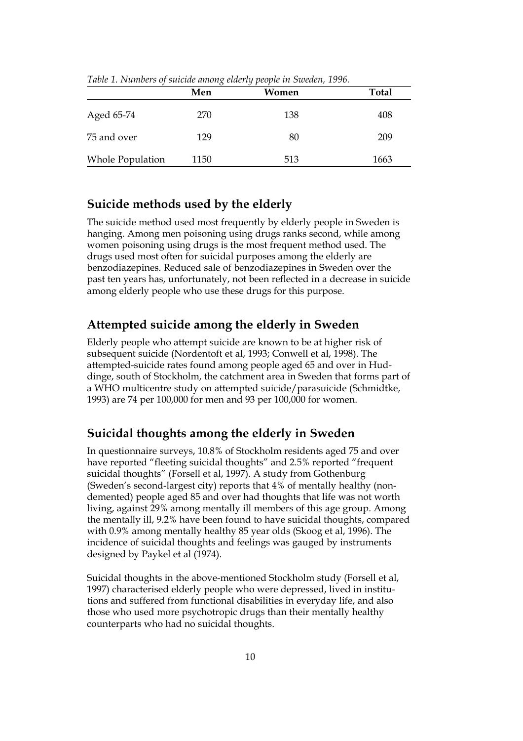|                         | $\cdot$<br>Men | Women | <b>Total</b> |
|-------------------------|----------------|-------|--------------|
| Aged 65-74              | 270            | 138   | 408          |
| 75 and over             | 129            | 80    | 209          |
| <b>Whole Population</b> | 1150           | 513   | 1663         |

*Table 1. Numbers of suicide among elderly people in Sweden, 1996.*

#### **Suicide methods used by the elderly**

The suicide method used most frequently by elderly people in Sweden is hanging. Among men poisoning using drugs ranks second, while among women poisoning using drugs is the most frequent method used. The drugs used most often for suicidal purposes among the elderly are benzodiazepines. Reduced sale of benzodiazepines in Sweden over the past ten years has, unfortunately, not been reflected in a decrease in suicide among elderly people who use these drugs for this purpose.

#### **Attempted suicide among the elderly in Sweden**

Elderly people who attempt suicide are known to be at higher risk of subsequent suicide (Nordentoft et al, 1993; Conwell et al, 1998). The attempted-suicide rates found among people aged 65 and over in Huddinge, south of Stockholm, the catchment area in Sweden that forms part of a WHO multicentre study on attempted suicide/parasuicide (Schmidtke, 1993) are 74 per 100,000 for men and 93 per 100,000 for women.

#### **Suicidal thoughts among the elderly in Sweden**

In questionnaire surveys, 10.8% of Stockholm residents aged 75 and over have reported "fleeting suicidal thoughts" and 2.5% reported "frequent suicidal thoughts" (Forsell et al, 1997). A study from Gothenburg (Sweden's second-largest city) reports that 4% of mentally healthy (nondemented) people aged 85 and over had thoughts that life was not worth living, against 29% among mentally ill members of this age group. Among the mentally ill, 9.2% have been found to have suicidal thoughts, compared with 0.9% among mentally healthy 85 year olds (Skoog et al, 1996). The incidence of suicidal thoughts and feelings was gauged by instruments designed by Paykel et al (1974).

Suicidal thoughts in the above-mentioned Stockholm study (Forsell et al, 1997) characterised elderly people who were depressed, lived in institutions and suffered from functional disabilities in everyday life, and also those who used more psychotropic drugs than their mentally healthy counterparts who had no suicidal thoughts.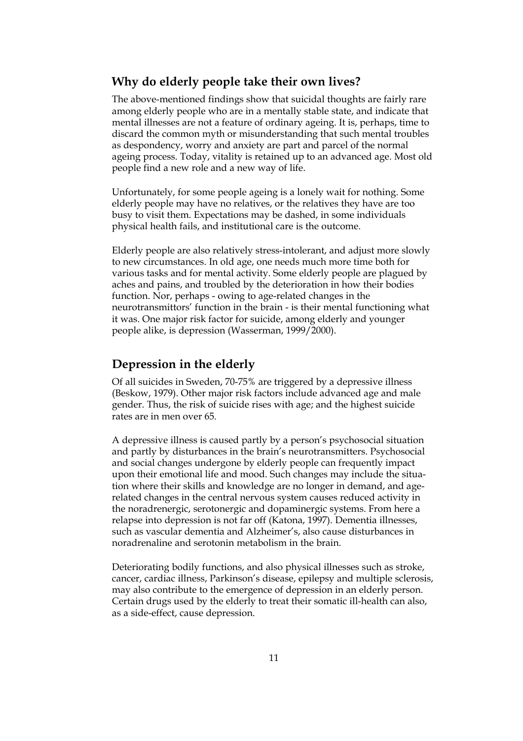#### **Why do elderly people take their own lives?**

The above-mentioned findings show that suicidal thoughts are fairly rare among elderly people who are in a mentally stable state, and indicate that mental illnesses are not a feature of ordinary ageing. It is, perhaps, time to discard the common myth or misunderstanding that such mental troubles as despondency, worry and anxiety are part and parcel of the normal ageing process. Today, vitality is retained up to an advanced age. Most old people find a new role and a new way of life.

Unfortunately, for some people ageing is a lonely wait for nothing. Some elderly people may have no relatives, or the relatives they have are too busy to visit them. Expectations may be dashed, in some individuals physical health fails, and institutional care is the outcome.

Elderly people are also relatively stress-intolerant, and adjust more slowly to new circumstances. In old age, one needs much more time both for various tasks and for mental activity. Some elderly people are plagued by aches and pains, and troubled by the deterioration in how their bodies function. Nor, perhaps - owing to age-related changes in the neurotransmittors' function in the brain - is their mental functioning what it was. One major risk factor for suicide, among elderly and younger people alike, is depression (Wasserman, 1999/2000).

#### **Depression in the elderly**

Of all suicides in Sweden, 70-75% are triggered by a depressive illness (Beskow, 1979). Other major risk factors include advanced age and male gender. Thus, the risk of suicide rises with age; and the highest suicide rates are in men over 65.

A depressive illness is caused partly by a person's psychosocial situation and partly by disturbances in the brain's neurotransmitters. Psychosocial and social changes undergone by elderly people can frequently impact upon their emotional life and mood. Such changes may include the situation where their skills and knowledge are no longer in demand, and agerelated changes in the central nervous system causes reduced activity in the noradrenergic, serotonergic and dopaminergic systems. From here a relapse into depression is not far off (Katona, 1997). Dementia illnesses, such as vascular dementia and Alzheimer's, also cause disturbances in noradrenaline and serotonin metabolism in the brain.

Deteriorating bodily functions, and also physical illnesses such as stroke, cancer, cardiac illness, Parkinson's disease, epilepsy and multiple sclerosis, may also contribute to the emergence of depression in an elderly person. Certain drugs used by the elderly to treat their somatic ill-health can also, as a side-effect, cause depression.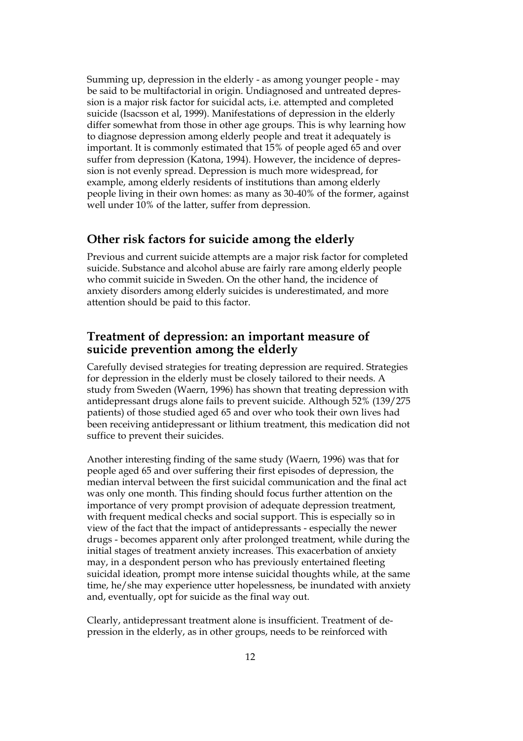Summing up, depression in the elderly - as among younger people - may be said to be multifactorial in origin. Undiagnosed and untreated depression is a major risk factor for suicidal acts, i.e. attempted and completed suicide (Isacsson et al, 1999). Manifestations of depression in the elderly differ somewhat from those in other age groups. This is why learning how to diagnose depression among elderly people and treat it adequately is important. It is commonly estimated that 15% of people aged 65 and over suffer from depression (Katona, 1994). However, the incidence of depression is not evenly spread. Depression is much more widespread, for example, among elderly residents of institutions than among elderly people living in their own homes: as many as 30-40% of the former, against well under 10% of the latter, suffer from depression.

#### **Other risk factors for suicide among the elderly**

Previous and current suicide attempts are a major risk factor for completed suicide. Substance and alcohol abuse are fairly rare among elderly people who commit suicide in Sweden. On the other hand, the incidence of anxiety disorders among elderly suicides is underestimated, and more attention should be paid to this factor.

#### **Treatment of depression: an important measure of suicide prevention among the elderly**

Carefully devised strategies for treating depression are required. Strategies for depression in the elderly must be closely tailored to their needs. A study from Sweden (Waern, 1996) has shown that treating depression with antidepressant drugs alone fails to prevent suicide. Although 52% (139/275 patients) of those studied aged 65 and over who took their own lives had been receiving antidepressant or lithium treatment, this medication did not suffice to prevent their suicides.

Another interesting finding of the same study (Waern, 1996) was that for people aged 65 and over suffering their first episodes of depression, the median interval between the first suicidal communication and the final act was only one month. This finding should focus further attention on the importance of very prompt provision of adequate depression treatment, with frequent medical checks and social support. This is especially so in view of the fact that the impact of antidepressants - especially the newer drugs - becomes apparent only after prolonged treatment, while during the initial stages of treatment anxiety increases. This exacerbation of anxiety may, in a despondent person who has previously entertained fleeting suicidal ideation, prompt more intense suicidal thoughts while, at the same time, he/she may experience utter hopelessness, be inundated with anxiety and, eventually, opt for suicide as the final way out.

Clearly, antidepressant treatment alone is insufficient. Treatment of depression in the elderly, as in other groups, needs to be reinforced with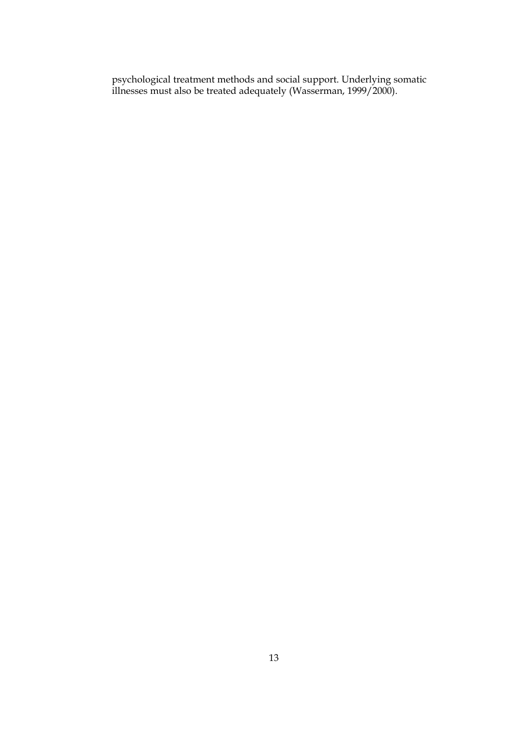psychological treatment methods and social support. Underlying somatic illnesses must also be treated adequately (Wasserman, 1999/2000).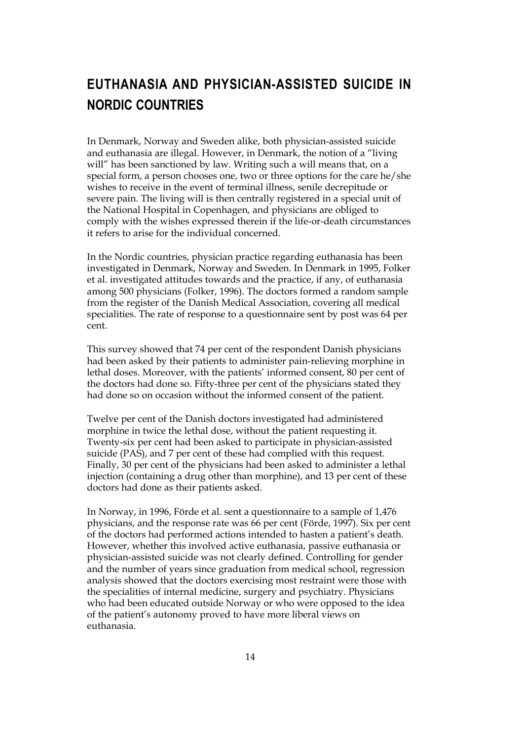# **EUTHANASIA AND PHYSICIAN-ASSISTED SUICIDE IN NORDIC COUNTRIES**

In Denmark, Norway and Sweden alike, both physician-assisted suicide and euthanasia are illegal. However, in Denmark, the notion of a "living will" has been sanctioned by law. Writing such a will means that, on a special form, a person chooses one, two or three options for the care he/she wishes to receive in the event of terminal illness, senile decrepitude or severe pain. The living will is then centrally registered in a special unit of the National Hospital in Copenhagen, and physicians are obliged to comply with the wishes expressed therein if the life-or-death circumstances it refers to arise for the individual concerned.

In the Nordic countries, physician practice regarding euthanasia has been investigated in Denmark, Norway and Sweden. In Denmark in 1995, Folker et al. investigated attitudes towards and the practice, if any, of euthanasia among 500 physicians (Folker, 1996). The doctors formed a random sample from the register of the Danish Medical Association, covering all medical specialities. The rate of response to a questionnaire sent by post was 64 per cent.

This survey showed that 74 per cent of the respondent Danish physicians had been asked by their patients to administer pain-relieving morphine in lethal doses. Moreover, with the patients' informed consent, 80 per cent of the doctors had done so. Fifty-three per cent of the physicians stated they had done so on occasion without the informed consent of the patient.

Twelve per cent of the Danish doctors investigated had administered morphine in twice the lethal dose, without the patient requesting it. Twenty-six per cent had been asked to participate in physician-assisted suicide (PAS), and 7 per cent of these had complied with this request. Finally, 30 per cent of the physicians had been asked to administer a lethal injection (containing a drug other than morphine), and 13 per cent of these doctors had done as their patients asked.

In Norway, in 1996, Förde et al. sent a questionnaire to a sample of 1,476 physicians, and the response rate was 66 per cent (Förde, 1997). Six per cent of the doctors had performed actions intended to hasten a patient's death. However, whether this involved active euthanasia, passive euthanasia or physician-assisted suicide was not clearly defined. Controlling for gender and the number of years since graduation from medical school, regression analysis showed that the doctors exercising most restraint were those with the specialities of internal medicine, surgery and psychiatry. Physicians who had been educated outside Norway or who were opposed to the idea of the patient's autonomy proved to have more liberal views on euthanasia.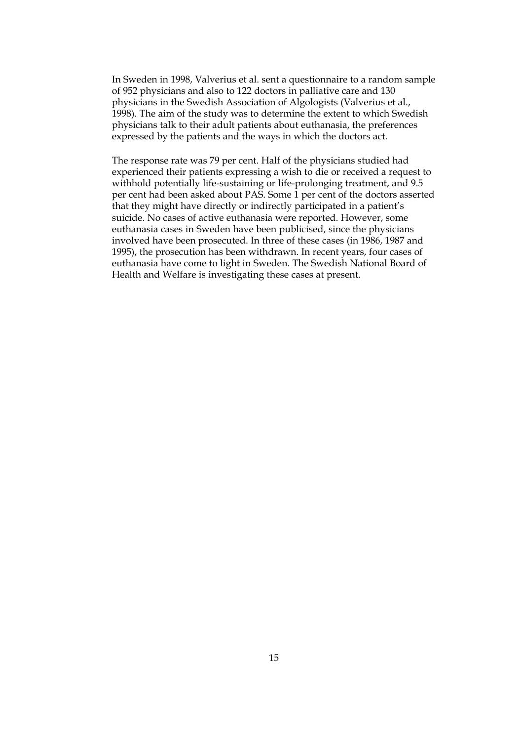In Sweden in 1998, Valverius et al. sent a questionnaire to a random sample of 952 physicians and also to 122 doctors in palliative care and 130 physicians in the Swedish Association of Algologists (Valverius et al., 1998). The aim of the study was to determine the extent to which Swedish physicians talk to their adult patients about euthanasia, the preferences expressed by the patients and the ways in which the doctors act.

The response rate was 79 per cent. Half of the physicians studied had experienced their patients expressing a wish to die or received a request to withhold potentially life-sustaining or life-prolonging treatment, and 9.5 per cent had been asked about PAS. Some 1 per cent of the doctors asserted that they might have directly or indirectly participated in a patient's suicide. No cases of active euthanasia were reported. However, some euthanasia cases in Sweden have been publicised, since the physicians involved have been prosecuted. In three of these cases (in 1986, 1987 and 1995), the prosecution has been withdrawn. In recent years, four cases of euthanasia have come to light in Sweden. The Swedish National Board of Health and Welfare is investigating these cases at present.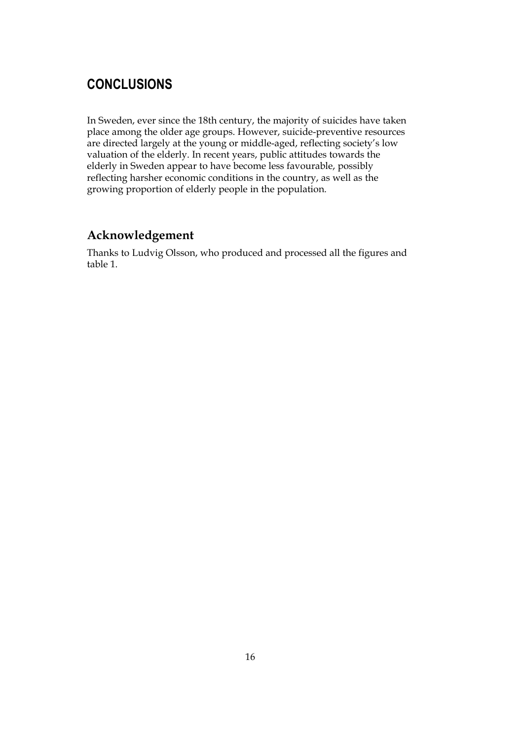## **CONCLUSIONS**

In Sweden, ever since the 18th century, the majority of suicides have taken place among the older age groups. However, suicide-preventive resources are directed largely at the young or middle-aged, reflecting society's low valuation of the elderly. In recent years, public attitudes towards the elderly in Sweden appear to have become less favourable, possibly reflecting harsher economic conditions in the country, as well as the growing proportion of elderly people in the population.

#### **Acknowledgement**

Thanks to Ludvig Olsson, who produced and processed all the figures and table 1.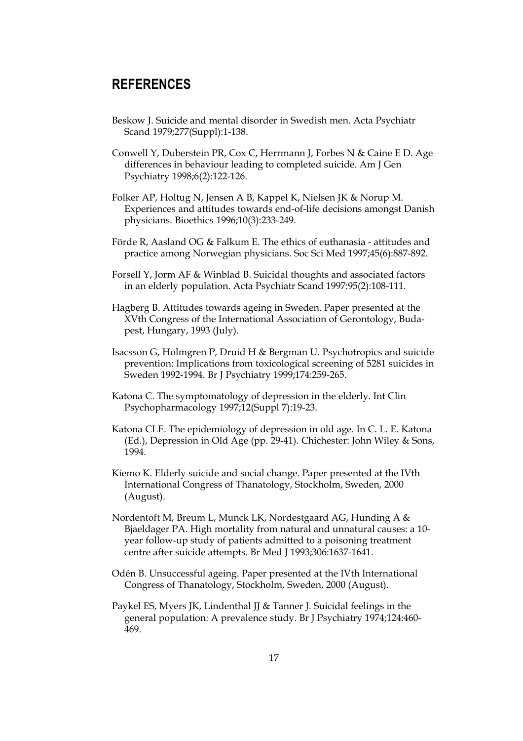#### **REFERENCES**

- Beskow J. Suicide and mental disorder in Swedish men. Acta Psychiatr Scand 1979;277(Suppl):1-138.
- Conwell Y, Duberstein PR, Cox C, Herrmann J, Forbes N & Caine E D. Age differences in behaviour leading to completed suicide. Am J Gen Psychiatry 1998;6(2):122-126.
- Folker AP, Holtug N, Jensen A B, Kappel K, Nielsen JK & Norup M. Experiences and attitudes towards end-of-life decisions amongst Danish physicians. Bioethics 1996;10(3):233-249.
- Förde R, Aasland OG & Falkum E. The ethics of euthanasia attitudes and practice among Norwegian physicians. Soc Sci Med 1997;45(6):887-892.
- Forsell Y, Jorm AF & Winblad B. Suicidal thoughts and associated factors in an elderly population. Acta Psychiatr Scand 1997:95(2):108-111.
- Hagberg B. Attitudes towards ageing in Sweden. Paper presented at the XVth Congress of the International Association of Gerontology, Budapest, Hungary, 1993 (July).
- Isacsson G, Holmgren P, Druid H & Bergman U. Psychotropics and suicide prevention: Implications from toxicological screening of 5281 suicides in Sweden 1992-1994. Br J Psychiatry 1999;174:259-265.
- Katona C. The symptomatology of depression in the elderly. Int Clin Psychopharmacology 1997;12(Suppl 7):19-23.
- Katona CLE. The epidemiology of depression in old age. In C. L. E. Katona (Ed.), Depression in Old Age (pp. 29-41). Chichester: John Wiley & Sons, 1994.
- Kiemo K. Elderly suicide and social change. Paper presented at the IVth International Congress of Thanatology, Stockholm, Sweden, 2000 (August).
- Nordentoft M, Breum L, Munck LK, Nordestgaard AG, Hunding A & Bjaeldager PA. High mortality from natural and unnatural causes: a 10 year follow-up study of patients admitted to a poisoning treatment centre after suicide attempts. Br Med J 1993;306:1637-1641.
- Odén B. Unsuccessful ageing. Paper presented at the IVth International Congress of Thanatology, Stockholm, Sweden, 2000 (August).
- Paykel ES, Myers JK, Lindenthal JJ & Tanner J. Suicidal feelings in the general population: A prevalence study. Br J Psychiatry 1974;124:460- 469.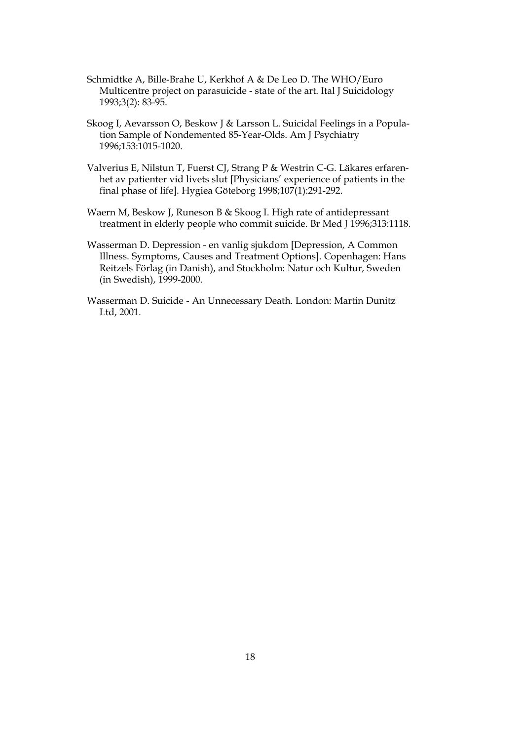- Nationellt centrum för suicidforskning och prevention av psykisk ohälsa 1993;3(2): 83-95. Schmidtke A, Bille-Brahe U, Kerkhof A & De Leo D. The WHO/Euro Multicentre project on parasuicide - state of the art. Ital J Suicidology
	- Skoog I, Aevarsson O, Beskow J & Larsson L. Suicidal Feelings in a Population Sample of Nondemented 85-Year-Olds. Am J Psychiatry 1996;153:1015-1020.
	- Valverius E, Nilstun T, Fuerst CJ, Strang P & Westrin C-G. Läkares erfarenhet av patienter vid livets slut [Physicians' experience of patients in the final phase of life]. Hygiea Göteborg 1998;107(1):291-292.
- Waern M, Beskow J, Runeson B & Skoog I. High rate of antidepressant treatment in elderly people who commit suicide. Br Med J 1996;313:1118.
	- Wasserman D. Depression en vanlig sjukdom [Depression, A Common vasserman *D*. Depression - en vallig sjuktom (Depression, A Common<br>Illness. Symptoms, Causes and Treatment Options]. Copenhagen: Hans (in Swedish), 1999-2000. Reitzels Förlag (in Danish), and Stockholm: Natur och Kultur, Sweden
		- Ltd,  $2001$ . Wasserman D. Suicide - An Unnecessary Death. London: Martin Dunitz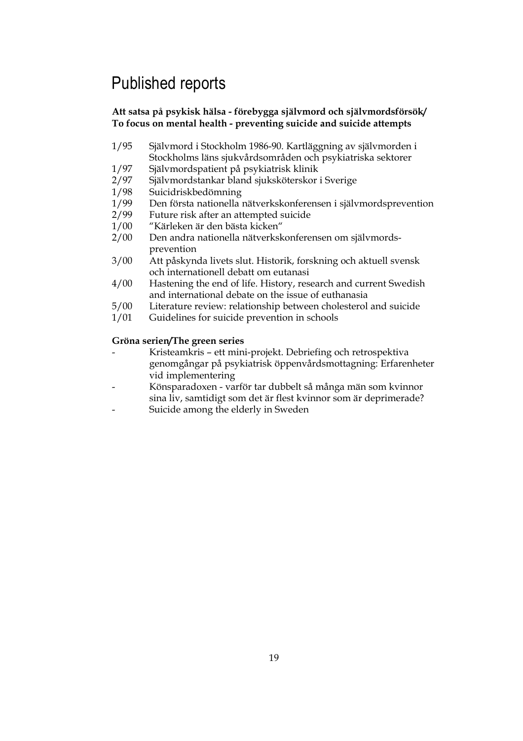# Published reports

#### **Att satsa på psykisk hälsa - förebygga självmord och självmordsförsök/ To focus on mental health - preventing suicide and suicide attempts**

- 1/95 Självmord i Stockholm 1986-90. Kartläggning av självmorden i Stockholms läns sjukvårdsområden och psykiatriska sektorer
- 1/97 Självmordspatient på psykiatrisk klinik
- 2/97 Självmordstankar bland sjuksköterskor i Sverige
- 1/98 Suicidriskbedömning
- 1/99 Den första nationella nätverkskonferensen i självmordsprevention
- 2/99 Future risk after an attempted suicide
- 1/00 "Kärleken är den bästa kicken"
- 2/00 Den andra nationella nätverkskonferensen om självmordsprevention
- 3/00 Att påskynda livets slut. Historik, forskning och aktuell svensk och internationell debatt om eutanasi
- 4/00 Hastening the end of life. History, research and current Swedish and international debate on the issue of euthanasia
- 5/00 Literature review: relationship between cholesterol and suicide
- 1/01 Guidelines for suicide prevention in schools

#### **Gröna serien/The green series**

- Kristeamkris ett mini-projekt. Debriefing och retrospektiva genomgångar på psykiatrisk öppenvårdsmottagning: Erfarenheter vid implementering
- Könsparadoxen varför tar dubbelt så många män som kvinnor sina liv, samtidigt som det är flest kvinnor som är deprimerade?
- Suicide among the elderly in Sweden